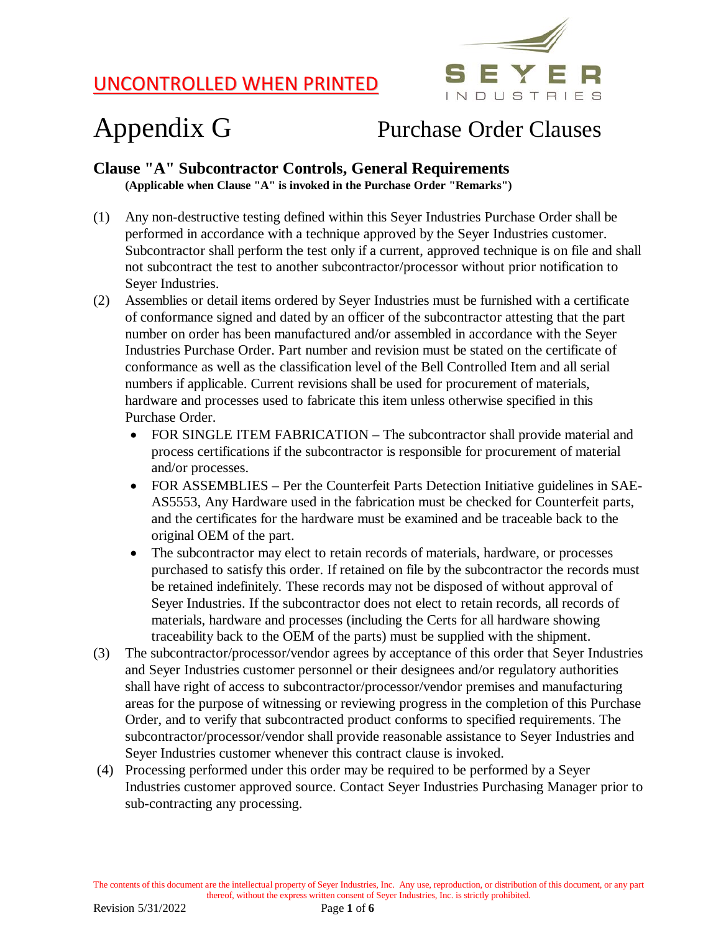

# Appendix G Purchase Order Clauses

### **Clause "A" Subcontractor Controls, General Requirements (Applicable when Clause "A" is invoked in the Purchase Order "Remarks")**

- (1) Any non-destructive testing defined within this Seyer Industries Purchase Order shall be performed in accordance with a technique approved by the Seyer Industries customer. Subcontractor shall perform the test only if a current, approved technique is on file and shall not subcontract the test to another subcontractor/processor without prior notification to Seyer Industries.
- (2) Assemblies or detail items ordered by Seyer Industries must be furnished with a certificate of conformance signed and dated by an officer of the subcontractor attesting that the part number on order has been manufactured and/or assembled in accordance with the Seyer Industries Purchase Order. Part number and revision must be stated on the certificate of conformance as well as the classification level of the Bell Controlled Item and all serial numbers if applicable. Current revisions shall be used for procurement of materials, hardware and processes used to fabricate this item unless otherwise specified in this Purchase Order.
	- FOR SINGLE ITEM FABRICATION The subcontractor shall provide material and process certifications if the subcontractor is responsible for procurement of material and/or processes.
	- FOR ASSEMBLIES Per the Counterfeit Parts Detection Initiative guidelines in SAE-AS5553, Any Hardware used in the fabrication must be checked for Counterfeit parts, and the certificates for the hardware must be examined and be traceable back to the original OEM of the part.
	- The subcontractor may elect to retain records of materials, hardware, or processes purchased to satisfy this order. If retained on file by the subcontractor the records must be retained indefinitely. These records may not be disposed of without approval of Seyer Industries. If the subcontractor does not elect to retain records, all records of materials, hardware and processes (including the Certs for all hardware showing traceability back to the OEM of the parts) must be supplied with the shipment.
- (3) The subcontractor/processor/vendor agrees by acceptance of this order that Seyer Industries and Seyer Industries customer personnel or their designees and/or regulatory authorities shall have right of access to subcontractor/processor/vendor premises and manufacturing areas for the purpose of witnessing or reviewing progress in the completion of this Purchase Order, and to verify that subcontracted product conforms to specified requirements. The subcontractor/processor/vendor shall provide reasonable assistance to Seyer Industries and Seyer Industries customer whenever this contract clause is invoked.
- (4) Processing performed under this order may be required to be performed by a Seyer Industries customer approved source. Contact Seyer Industries Purchasing Manager prior to sub-contracting any processing.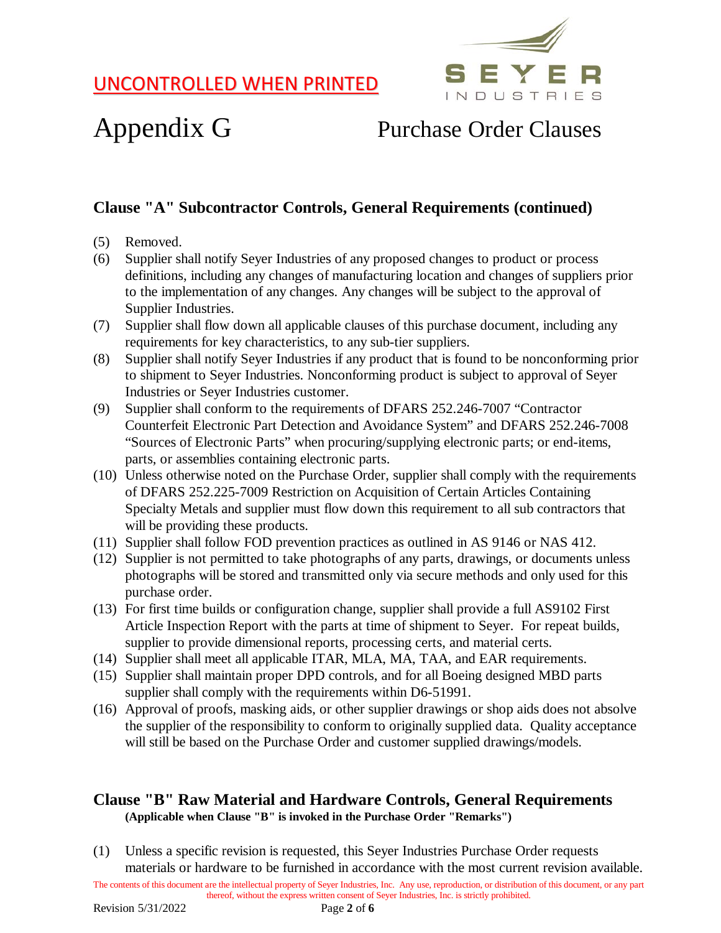

# Appendix G Purchase Order Clauses

## **Clause "A" Subcontractor Controls, General Requirements (continued)**

- (5) Removed.
- (6) Supplier shall notify Seyer Industries of any proposed changes to product or process definitions, including any changes of manufacturing location and changes of suppliers prior to the implementation of any changes. Any changes will be subject to the approval of Supplier Industries.
- (7) Supplier shall flow down all applicable clauses of this purchase document, including any requirements for key characteristics, to any sub-tier suppliers.
- (8) Supplier shall notify Seyer Industries if any product that is found to be nonconforming prior to shipment to Seyer Industries. Nonconforming product is subject to approval of Seyer Industries or Seyer Industries customer.
- (9) Supplier shall conform to the requirements of DFARS 252.246-7007 "Contractor Counterfeit Electronic Part Detection and Avoidance System" and DFARS 252.246-7008 "Sources of Electronic Parts" when procuring/supplying electronic parts; or end-items, parts, or assemblies containing electronic parts.
- (10) Unless otherwise noted on the Purchase Order, supplier shall comply with the requirements of DFARS 252.225-7009 Restriction on Acquisition of Certain Articles Containing Specialty Metals and supplier must flow down this requirement to all sub contractors that will be providing these products.
- (11) Supplier shall follow FOD prevention practices as outlined in AS 9146 or NAS 412.
- (12) Supplier is not permitted to take photographs of any parts, drawings, or documents unless photographs will be stored and transmitted only via secure methods and only used for this purchase order.
- (13) For first time builds or configuration change, supplier shall provide a full AS9102 First Article Inspection Report with the parts at time of shipment to Seyer. For repeat builds, supplier to provide dimensional reports, processing certs, and material certs.
- (14) Supplier shall meet all applicable ITAR, MLA, MA, TAA, and EAR requirements.
- (15) Supplier shall maintain proper DPD controls, and for all Boeing designed MBD parts supplier shall comply with the requirements within D6-51991.
- (16) Approval of proofs, masking aids, or other supplier drawings or shop aids does not absolve the supplier of the responsibility to conform to originally supplied data. Quality acceptance will still be based on the Purchase Order and customer supplied drawings/models.

### **Clause "B" Raw Material and Hardware Controls, General Requirements (Applicable when Clause "B" is invoked in the Purchase Order "Remarks")**

(1) Unless a specific revision is requested, this Seyer Industries Purchase Order requests materials or hardware to be furnished in accordance with the most current revision available.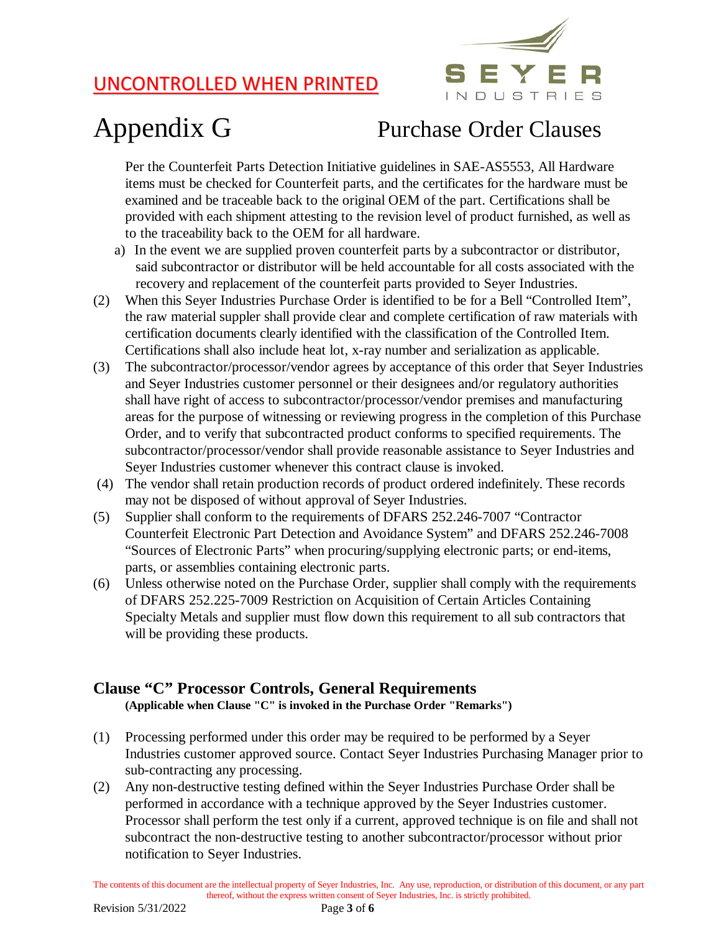

# Appendix G Purchase Order Clauses

Per the Counterfeit Parts Detection Initiative guidelines in SAE-AS5553, All Hardware items must be checked for Counterfeit parts, and the certificates for the hardware must be examined and be traceable back to the original OEM of the part. Certifications shall be provided with each shipment attesting to the revision level of product furnished, as well as to the traceability back to the OEM for all hardware.

- a) In the event we are supplied proven counterfeit parts by a subcontractor or distributor, said subcontractor or distributor will be held accountable for all costs associated with the recovery and replacement of the counterfeit parts provided to Seyer Industries.
- (2) When this Seyer Industries Purchase Order is identified to be for a Bell "Controlled Item", the raw material suppler shall provide clear and complete certification of raw materials with certification documents clearly identified with the classification of the Controlled Item. Certifications shall also include heat lot, x-ray number and serialization as applicable.
- (3) The subcontractor/processor/vendor agrees by acceptance of this order that Seyer Industries and Seyer Industries customer personnel or their designees and/or regulatory authorities shall have right of access to subcontractor/processor/vendor premises and manufacturing areas for the purpose of witnessing or reviewing progress in the completion of this Purchase Order, and to verify that subcontracted product conforms to specified requirements. The subcontractor/processor/vendor shall provide reasonable assistance to Seyer Industries and Seyer Industries customer whenever this contract clause is invoked.
- (4) The vendor shall retain production records of product ordered indefinitely. These records may not be disposed of without approval of Seyer Industries.
- (5) Supplier shall conform to the requirements of DFARS 252.246-7007 "Contractor Counterfeit Electronic Part Detection and Avoidance System" and DFARS 252.246-7008 "Sources of Electronic Parts" when procuring/supplying electronic parts; or end-items, parts, or assemblies containing electronic parts.
- (6) Unless otherwise noted on the Purchase Order, supplier shall comply with the requirements of DFARS 252.225-7009 Restriction on Acquisition of Certain Articles Containing Specialty Metals and supplier must flow down this requirement to all sub contractors that will be providing these products.

### **Clause "C" Processor Controls, General Requirements (Applicable when Clause "C" is invoked in the Purchase Order "Remarks")**

- (1) Processing performed under this order may be required to be performed by a Seyer Industries customer approved source. Contact Seyer Industries Purchasing Manager prior to sub-contracting any processing.
- (2) Any non-destructive testing defined within the Seyer Industries Purchase Order shall be performed in accordance with a technique approved by the Seyer Industries customer. Processor shall perform the test only if a current, approved technique is on file and shall not subcontract the non-destructive testing to another subcontractor/processor without prior notification to Seyer Industries.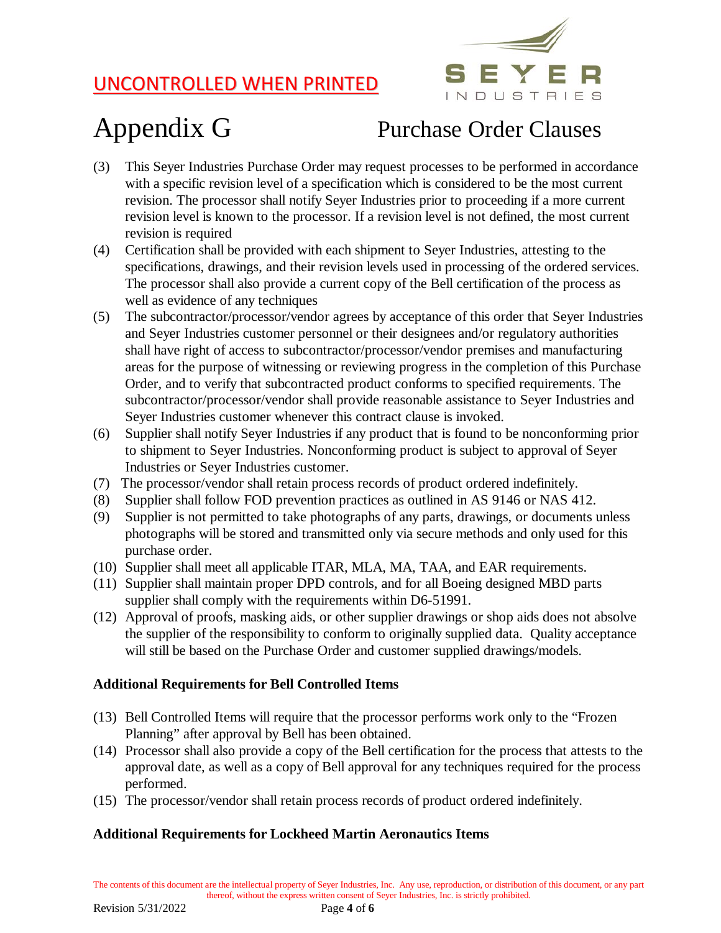

# Appendix G Purchase Order Clauses

- (3) This Seyer Industries Purchase Order may request processes to be performed in accordance with a specific revision level of a specification which is considered to be the most current revision. The processor shall notify Seyer Industries prior to proceeding if a more current revision level is known to the processor. If a revision level is not defined, the most current revision is required
- (4) Certification shall be provided with each shipment to Seyer Industries, attesting to the specifications, drawings, and their revision levels used in processing of the ordered services. The processor shall also provide a current copy of the Bell certification of the process as well as evidence of any techniques
- (5) The subcontractor/processor/vendor agrees by acceptance of this order that Seyer Industries and Seyer Industries customer personnel or their designees and/or regulatory authorities shall have right of access to subcontractor/processor/vendor premises and manufacturing areas for the purpose of witnessing or reviewing progress in the completion of this Purchase Order, and to verify that subcontracted product conforms to specified requirements. The subcontractor/processor/vendor shall provide reasonable assistance to Seyer Industries and Seyer Industries customer whenever this contract clause is invoked.
- (6) Supplier shall notify Seyer Industries if any product that is found to be nonconforming prior to shipment to Seyer Industries. Nonconforming product is subject to approval of Seyer Industries or Seyer Industries customer.
- (7) The processor/vendor shall retain process records of product ordered indefinitely.
- (8) Supplier shall follow FOD prevention practices as outlined in AS 9146 or NAS 412.
- (9) Supplier is not permitted to take photographs of any parts, drawings, or documents unless photographs will be stored and transmitted only via secure methods and only used for this purchase order.
- (10) Supplier shall meet all applicable ITAR, MLA, MA, TAA, and EAR requirements.
- (11) Supplier shall maintain proper DPD controls, and for all Boeing designed MBD parts supplier shall comply with the requirements within D6-51991.
- (12) Approval of proofs, masking aids, or other supplier drawings or shop aids does not absolve the supplier of the responsibility to conform to originally supplied data. Quality acceptance will still be based on the Purchase Order and customer supplied drawings/models.

### **Additional Requirements for Bell Controlled Items**

- (13) Bell Controlled Items will require that the processor performs work only to the "Frozen Planning" after approval by Bell has been obtained.
- (14) Processor shall also provide a copy of the Bell certification for the process that attests to the approval date, as well as a copy of Bell approval for any techniques required for the process performed.
- (15) The processor/vendor shall retain process records of product ordered indefinitely.

### **Additional Requirements for Lockheed Martin Aeronautics Items**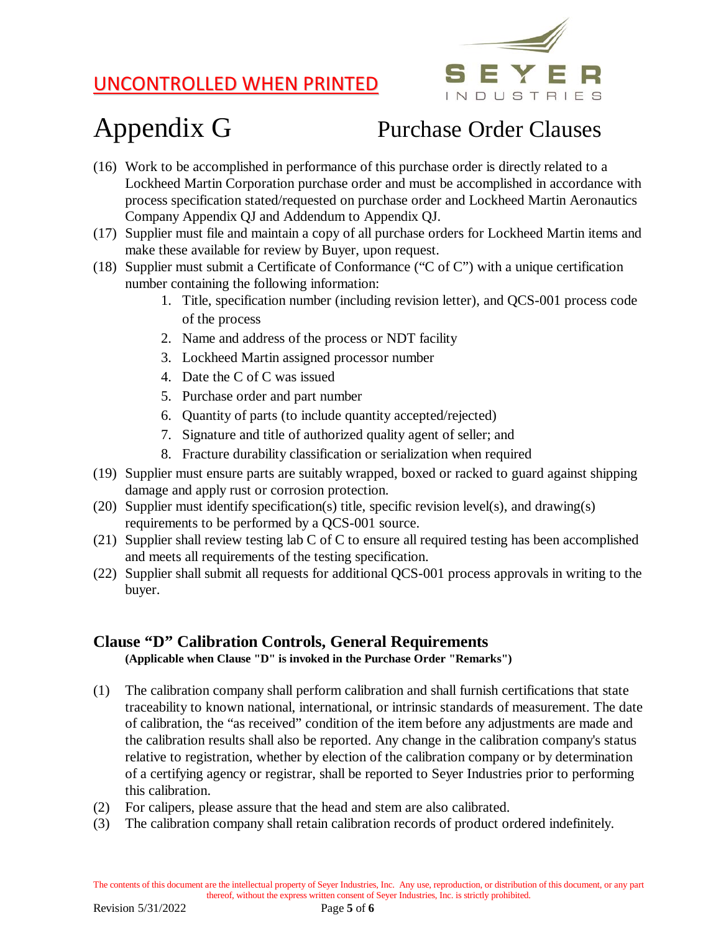

# Appendix G Purchase Order Clauses

- (16) Work to be accomplished in performance of this purchase order is directly related to a Lockheed Martin Corporation purchase order and must be accomplished in accordance with process specification stated/requested on purchase order and Lockheed Martin Aeronautics Company Appendix QJ and Addendum to Appendix QJ.
- (17) Supplier must file and maintain a copy of all purchase orders for Lockheed Martin items and make these available for review by Buyer, upon request.
- (18) Supplier must submit a Certificate of Conformance ("C of C") with a unique certification number containing the following information:
	- 1. Title, specification number (including revision letter), and QCS-001 process code of the process
	- 2. Name and address of the process or NDT facility
	- 3. Lockheed Martin assigned processor number
	- 4. Date the C of C was issued
	- 5. Purchase order and part number
	- 6. Quantity of parts (to include quantity accepted/rejected)
	- 7. Signature and title of authorized quality agent of seller; and
	- 8. Fracture durability classification or serialization when required
- (19) Supplier must ensure parts are suitably wrapped, boxed or racked to guard against shipping damage and apply rust or corrosion protection.
- (20) Supplier must identify specification(s) title, specific revision level(s), and drawing(s) requirements to be performed by a QCS-001 source.
- (21) Supplier shall review testing lab C of C to ensure all required testing has been accomplished and meets all requirements of the testing specification.
- (22) Supplier shall submit all requests for additional QCS-001 process approvals in writing to the buyer.

## **Clause "D" Calibration Controls, General Requirements**

**(Applicable when Clause "D" is invoked in the Purchase Order "Remarks")**

- (1) The calibration company shall perform calibration and shall furnish certifications that state traceability to known national, international, or intrinsic standards of measurement. The date of calibration, the "as received" condition of the item before any adjustments are made and the calibration results shall also be reported. Any change in the calibration company's status relative to registration, whether by election of the calibration company or by determination of a certifying agency or registrar, shall be reported to Seyer Industries prior to performing this calibration.
- (2) For calipers, please assure that the head and stem are also calibrated.
- (3) The calibration company shall retain calibration records of product ordered indefinitely.